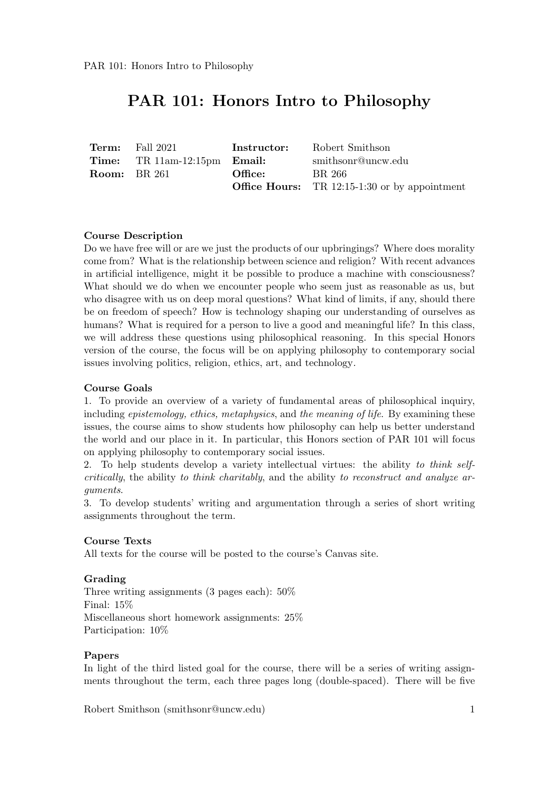| <b>Term:</b> Fall 2021                       | Instructor: | Robert Smithson                                        |
|----------------------------------------------|-------------|--------------------------------------------------------|
| <b>Time:</b> TR $11am-12:15pm$ <b>Email:</b> |             | smithsonr@uncw.edu                                     |
| <b>Room:</b> BR 261                          | Office:     | BR 266                                                 |
|                                              |             | <b>Office Hours:</b> TR $12:15-1:30$ or by appointment |

#### Course Description

Do we have free will or are we just the products of our upbringings? Where does morality come from? What is the relationship between science and religion? With recent advances in artificial intelligence, might it be possible to produce a machine with consciousness? What should we do when we encounter people who seem just as reasonable as us, but who disagree with us on deep moral questions? What kind of limits, if any, should there be on freedom of speech? How is technology shaping our understanding of ourselves as humans? What is required for a person to live a good and meaningful life? In this class, we will address these questions using philosophical reasoning. In this special Honors version of the course, the focus will be on applying philosophy to contemporary social issues involving politics, religion, ethics, art, and technology.

#### Course Goals

1. To provide an overview of a variety of fundamental areas of philosophical inquiry, including *epistemology, ethics, metaphysics, and the meaning of life.* By examining these issues, the course aims to show students how philosophy can help us better understand the world and our place in it. In particular, this Honors section of PAR 101 will focus on applying philosophy to contemporary social issues.

2. To help students develop a variety intellectual virtues: the ability to think selfcritically, the ability to think charitably, and the ability to reconstruct and analyze arguments.

3. To develop students' writing and argumentation through a series of short writing assignments throughout the term.

#### Course Texts

All texts for the course will be posted to the course's Canvas site.

#### Grading

Three writing assignments (3 pages each): 50% Final: 15% Miscellaneous short homework assignments: 25% Participation: 10%

#### Papers

In light of the third listed goal for the course, there will be a series of writing assignments throughout the term, each three pages long (double-spaced). There will be five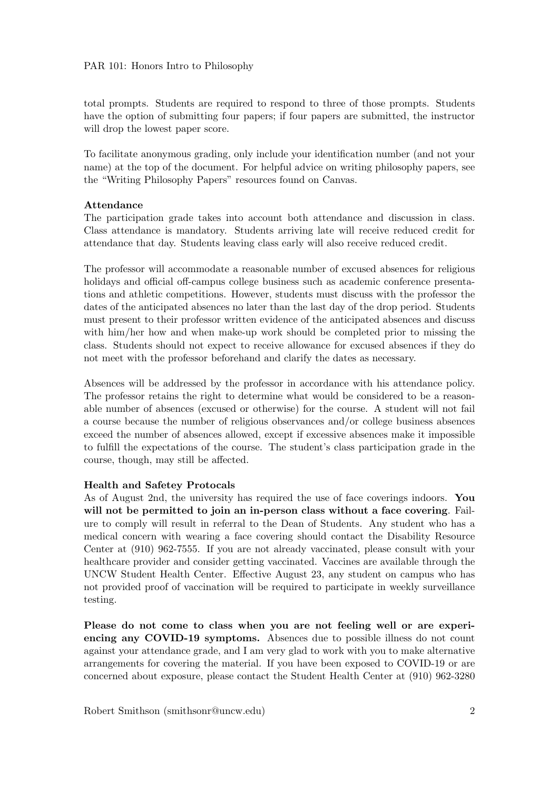total prompts. Students are required to respond to three of those prompts. Students have the option of submitting four papers; if four papers are submitted, the instructor will drop the lowest paper score.

To facilitate anonymous grading, only include your identification number (and not your name) at the top of the document. For helpful advice on writing philosophy papers, see the "Writing Philosophy Papers" resources found on Canvas.

#### Attendance

The participation grade takes into account both attendance and discussion in class. Class attendance is mandatory. Students arriving late will receive reduced credit for attendance that day. Students leaving class early will also receive reduced credit.

The professor will accommodate a reasonable number of excused absences for religious holidays and official off-campus college business such as academic conference presentations and athletic competitions. However, students must discuss with the professor the dates of the anticipated absences no later than the last day of the drop period. Students must present to their professor written evidence of the anticipated absences and discuss with him/her how and when make-up work should be completed prior to missing the class. Students should not expect to receive allowance for excused absences if they do not meet with the professor beforehand and clarify the dates as necessary.

Absences will be addressed by the professor in accordance with his attendance policy. The professor retains the right to determine what would be considered to be a reasonable number of absences (excused or otherwise) for the course. A student will not fail a course because the number of religious observances and/or college business absences exceed the number of absences allowed, except if excessive absences make it impossible to fulfill the expectations of the course. The student's class participation grade in the course, though, may still be affected.

#### Health and Safetey Protocals

As of August 2nd, the university has required the use of face coverings indoors. You will not be permitted to join an in-person class without a face covering. Failure to comply will result in referral to the Dean of Students. Any student who has a medical concern with wearing a face covering should contact the Disability Resource Center at (910) 962-7555. If you are not already vaccinated, please consult with your healthcare provider and consider getting vaccinated. Vaccines are available through the UNCW Student Health Center. Effective August 23, any student on campus who has not provided proof of vaccination will be required to participate in weekly surveillance testing.

Please do not come to class when you are not feeling well or are experiencing any COVID-19 symptoms. Absences due to possible illness do not count against your attendance grade, and I am very glad to work with you to make alternative arrangements for covering the material. If you have been exposed to COVID-19 or are concerned about exposure, please contact the Student Health Center at (910) 962-3280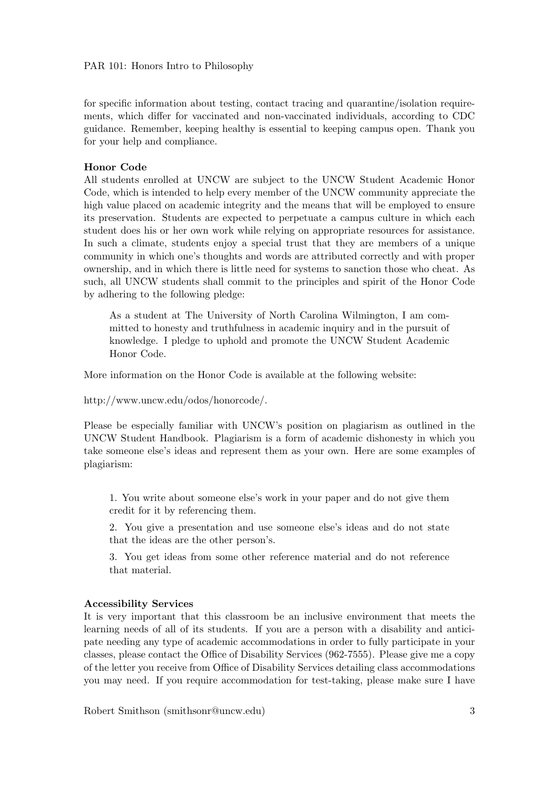for specific information about testing, contact tracing and quarantine/isolation requirements, which differ for vaccinated and non-vaccinated individuals, according to CDC guidance. Remember, keeping healthy is essential to keeping campus open. Thank you for your help and compliance.

#### Honor Code

All students enrolled at UNCW are subject to the UNCW Student Academic Honor Code, which is intended to help every member of the UNCW community appreciate the high value placed on academic integrity and the means that will be employed to ensure its preservation. Students are expected to perpetuate a campus culture in which each student does his or her own work while relying on appropriate resources for assistance. In such a climate, students enjoy a special trust that they are members of a unique community in which one's thoughts and words are attributed correctly and with proper ownership, and in which there is little need for systems to sanction those who cheat. As such, all UNCW students shall commit to the principles and spirit of the Honor Code by adhering to the following pledge:

As a student at The University of North Carolina Wilmington, I am committed to honesty and truthfulness in academic inquiry and in the pursuit of knowledge. I pledge to uphold and promote the UNCW Student Academic Honor Code.

More information on the Honor Code is available at the following website:

http://www.uncw.edu/odos/honorcode/.

Please be especially familiar with UNCW's position on plagiarism as outlined in the UNCW Student Handbook. Plagiarism is a form of academic dishonesty in which you take someone else's ideas and represent them as your own. Here are some examples of plagiarism:

1. You write about someone else's work in your paper and do not give them credit for it by referencing them.

2. You give a presentation and use someone else's ideas and do not state that the ideas are the other person's.

3. You get ideas from some other reference material and do not reference that material.

#### Accessibility Services

It is very important that this classroom be an inclusive environment that meets the learning needs of all of its students. If you are a person with a disability and anticipate needing any type of academic accommodations in order to fully participate in your classes, please contact the Office of Disability Services (962-7555). Please give me a copy of the letter you receive from Office of Disability Services detailing class accommodations you may need. If you require accommodation for test-taking, please make sure I have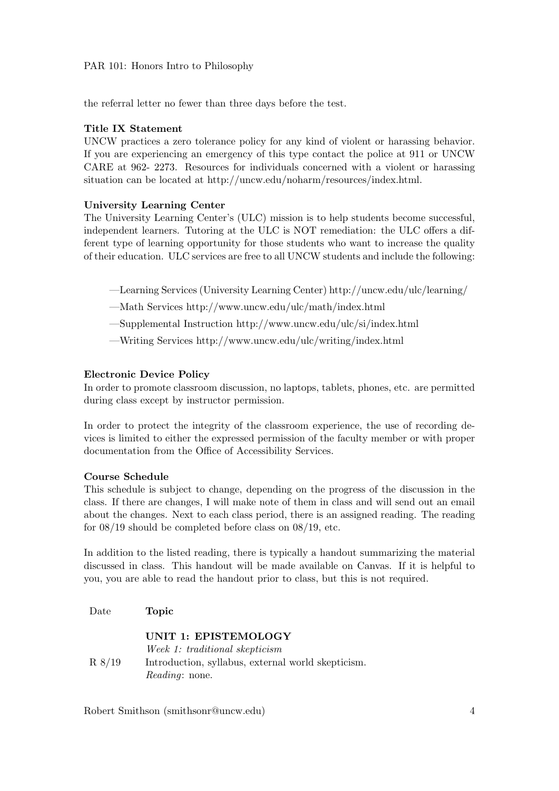the referral letter no fewer than three days before the test.

#### Title IX Statement

UNCW practices a zero tolerance policy for any kind of violent or harassing behavior. If you are experiencing an emergency of this type contact the police at 911 or UNCW CARE at 962- 2273. Resources for individuals concerned with a violent or harassing situation can be located at http://uncw.edu/noharm/resources/index.html.

#### University Learning Center

The University Learning Center's (ULC) mission is to help students become successful, independent learners. Tutoring at the ULC is NOT remediation: the ULC offers a different type of learning opportunity for those students who want to increase the quality of their education. ULC services are free to all UNCW students and include the following:

- —Learning Services (University Learning Center) http://uncw.edu/ulc/learning/
- —Math Services http://www.uncw.edu/ulc/math/index.html
- —Supplemental Instruction http://www.uncw.edu/ulc/si/index.html
- —Writing Services http://www.uncw.edu/ulc/writing/index.html

#### Electronic Device Policy

In order to promote classroom discussion, no laptops, tablets, phones, etc. are permitted during class except by instructor permission.

In order to protect the integrity of the classroom experience, the use of recording devices is limited to either the expressed permission of the faculty member or with proper documentation from the Office of Accessibility Services.

#### Course Schedule

This schedule is subject to change, depending on the progress of the discussion in the class. If there are changes, I will make note of them in class and will send out an email about the changes. Next to each class period, there is an assigned reading. The reading for 08/19 should be completed before class on 08/19, etc.

In addition to the listed reading, there is typically a handout summarizing the material discussed in class. This handout will be made available on Canvas. If it is helpful to you, you are able to read the handout prior to class, but this is not required.

Date **Topic** 

UNIT 1: EPISTEMOLOGY Week 1: traditional skepticism R 8/19 Introduction, syllabus, external world skepticism. Reading: none.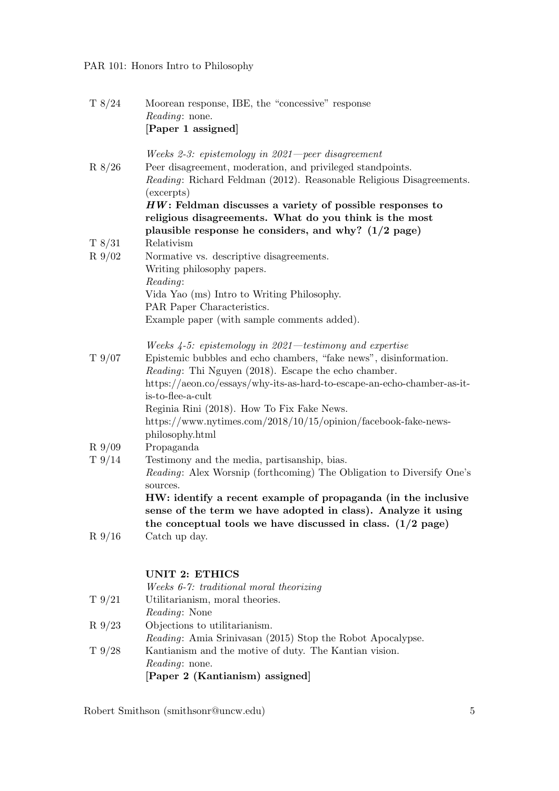| T 8/24    | Moorean response, IBE, the "concessive" response<br><i>Reading:</i> none.<br>[Paper 1 assigned]                                                                                                       |
|-----------|-------------------------------------------------------------------------------------------------------------------------------------------------------------------------------------------------------|
| R 8/26    | Weeks 2-3: epistemology in 2021—peer disagreement<br>Peer disagreement, moderation, and privileged standpoints.<br>Reading: Richard Feldman (2012). Reasonable Religious Disagreements.<br>(excerpts) |
|           | $HW:$ Feldman discusses a variety of possible responses to<br>religious disagreements. What do you think is the most                                                                                  |
|           | plausible response he considers, and why? $(1/2$ page)                                                                                                                                                |
| T 8/31    | Relativism                                                                                                                                                                                            |
| $R\,9/02$ | Normative vs. descriptive disagreements.                                                                                                                                                              |
|           | Writing philosophy papers.                                                                                                                                                                            |
|           | Reading:                                                                                                                                                                                              |
|           | Vida Yao (ms) Intro to Writing Philosophy.                                                                                                                                                            |
|           | PAR Paper Characteristics.                                                                                                                                                                            |
|           | Example paper (with sample comments added).                                                                                                                                                           |
|           | Weeks $4-5$ : epistemology in 2021—testimony and expertise                                                                                                                                            |
| T 9/07    | Epistemic bubbles and echo chambers, "fake news", disinformation.                                                                                                                                     |
|           | <i>Reading</i> : Thi Nguyen (2018). Escape the echo chamber.                                                                                                                                          |
|           | https://aeon.co/essays/why-its-as-hard-to-escape-an-echo-chamber-as-it-                                                                                                                               |
|           | is-to-flee-a-cult                                                                                                                                                                                     |
|           | Reginia Rini (2018). How To Fix Fake News.<br>https://www.nytimes.com/2018/10/15/opinion/facebook-fake-news-                                                                                          |
|           | philosophy.html                                                                                                                                                                                       |
| $R\,9/09$ | Propaganda                                                                                                                                                                                            |
| T9/14     | Testimony and the media, partisanship, bias.                                                                                                                                                          |
|           | <i>Reading:</i> Alex Worsnip (forthcoming) The Obligation to Diversify One's<br>sources.                                                                                                              |
|           | HW: identify a recent example of propaganda (in the inclusive                                                                                                                                         |
|           | sense of the term we have adopted in class). Analyze it using                                                                                                                                         |
|           | the conceptual tools we have discussed in class. $(1/2 \text{ page})$                                                                                                                                 |
| R9/16     | Catch up day.                                                                                                                                                                                         |
|           | <b>UNIT 2: ETHICS</b>                                                                                                                                                                                 |
|           | Weeks 6-7: traditional moral theorizing                                                                                                                                                               |
| T9/21     | Utilitarianism, moral theories.                                                                                                                                                                       |
| R9/23     | <i>Reading:</i> None<br>Objections to utilitarianism.                                                                                                                                                 |
|           | Reading: Amia Srinivasan (2015) Stop the Robot Apocalypse.                                                                                                                                            |
| T9/28     | Kantianism and the motive of duty. The Kantian vision.<br><i>Reading:</i> none.                                                                                                                       |

[Paper 2 (Kantianism) assigned]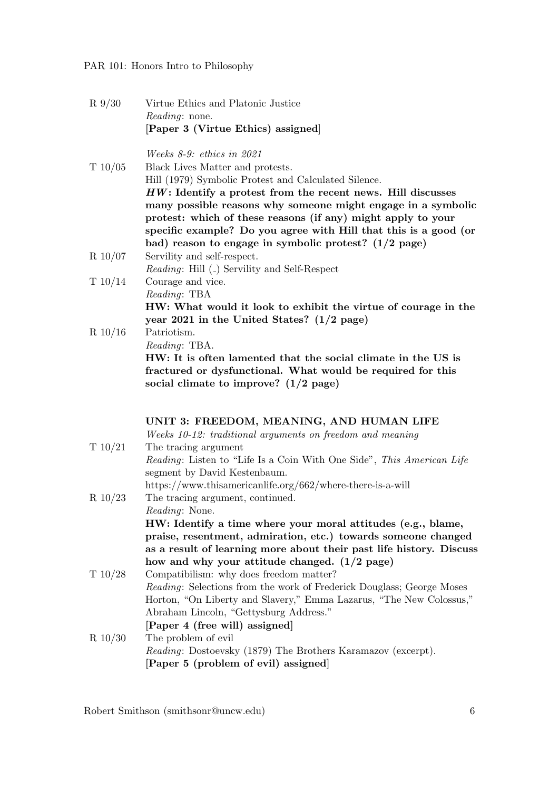R 9/30 Virtue Ethics and Platonic Justice Reading: none. [Paper 3 (Virtue Ethics) assigned]

Weeks 8-9: ethics in 2021

| T $10/05$  | Black Lives Matter and protests.                                 |
|------------|------------------------------------------------------------------|
|            | Hill (1979) Symbolic Protest and Calculated Silence.             |
|            | $HW:$ Identify a protest from the recent news. Hill discusses    |
|            | many possible reasons why someone might engage in a symbolic     |
|            | protest: which of these reasons (if any) might apply to your     |
|            | specific example? Do you agree with Hill that this is a good (or |
|            | bad) reason to engage in symbolic protest? $(1/2$ page)          |
| $R\ 10/07$ | Servility and self-respect.                                      |
|            | <i>Reading:</i> Hill (.) Servility and Self-Respect              |
| T 10/14    | Courage and vice.                                                |
|            | Reading: TBA                                                     |
|            | HW: What would it look to exhibit the virtue of courage in the   |
|            | year 2021 in the United States? $(1/2$ page)                     |
| $D$ 10/16  | $D_{\alpha}$ in $\lambda$ is and                                 |

R 10/16 Patriotism. Reading: TBA. HW: It is often lamented that the social climate in the US is fractured or dysfunctional. What would be required for this social climate to improve? (1/2 page)

UNIT 3: FREEDOM, MEANING, AND HUMAN LIFE

| Weeks 10-12: traditional arguments on freedom and meaning |  |  |  |
|-----------------------------------------------------------|--|--|--|
|                                                           |  |  |  |
|                                                           |  |  |  |

|            | rroche 10 13: craatterial argamento on pocao ni ana meanting                 |
|------------|------------------------------------------------------------------------------|
| T $10/21$  | The tracing argument                                                         |
|            | <i>Reading:</i> Listen to "Life Is a Coin With One Side", This American Life |
|            | segment by David Kestenbaum.                                                 |
|            | https://www.thisamericanlife.org/662/where-there-is-a-will                   |
| $R\ 10/23$ | The tracing argument, continued.                                             |
|            | <i>Reading:</i> None.                                                        |
|            | HW: Identify a time where your moral attitudes (e.g., blame,                 |
|            | praise, resentment, admiration, etc.) towards someone changed                |
|            | as a result of learning more about their past life history. Discuss          |
|            | how and why your attitude changed. $(1/2$ page)                              |
| T $10/28$  | Compatibilism: why does freedom matter?                                      |
|            | <i>Reading:</i> Selections from the work of Frederick Douglass; George Moses |
|            | Horton, "On Liberty and Slavery," Emma Lazarus, "The New Colossus,"          |
|            | Abraham Lincoln, "Gettysburg Address."                                       |
|            | [Paper 4 (free will) assigned]                                               |
| $R$ 10/30  | The problem of evil                                                          |
|            | Reading: Dostoevsky (1879) The Brothers Karamazov (excerpt).                 |
|            | [Paper 5 (problem of evil) assigned]                                         |
|            |                                                                              |